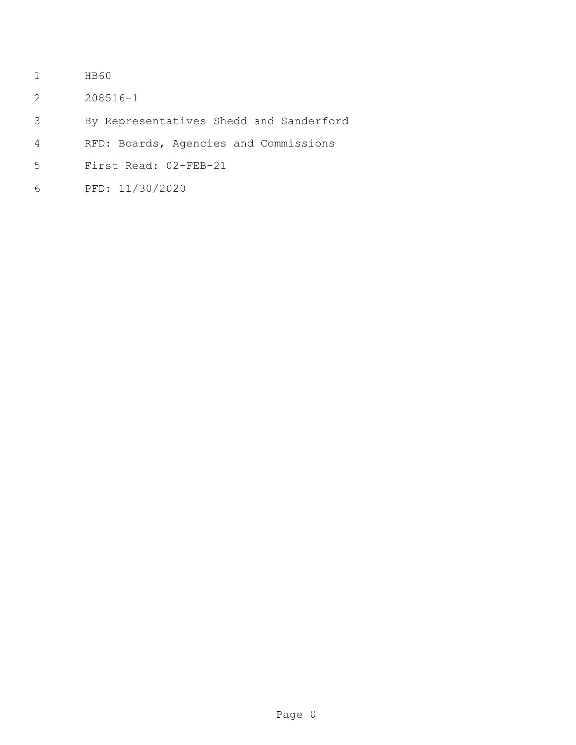- HB60
- 208516-1
- By Representatives Shedd and Sanderford
- RFD: Boards, Agencies and Commissions
- First Read: 02-FEB-21
- PFD: 11/30/2020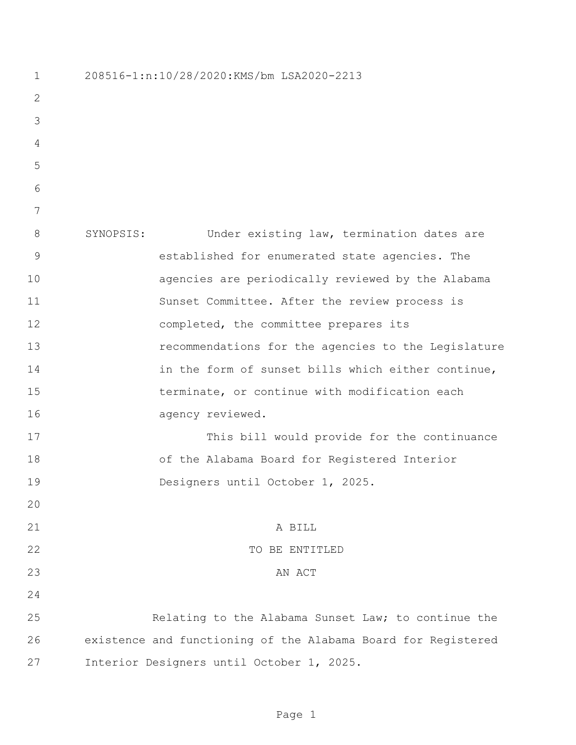| $\mathbf 1$  | 208516-1:n:10/28/2020:KMS/bm LSA2020-2213                     |
|--------------|---------------------------------------------------------------|
| $\mathbf{2}$ |                                                               |
| 3            |                                                               |
| 4            |                                                               |
| 5            |                                                               |
| 6            |                                                               |
| 7            |                                                               |
| 8            | Under existing law, termination dates are<br>SYNOPSIS:        |
| $\mathsf 9$  | established for enumerated state agencies. The                |
| 10           | agencies are periodically reviewed by the Alabama             |
| 11           | Sunset Committee. After the review process is                 |
| 12           | completed, the committee prepares its                         |
| 13           | recommendations for the agencies to the Legislature           |
| 14           | in the form of sunset bills which either continue,            |
| 15           | terminate, or continue with modification each                 |
| 16           | agency reviewed.                                              |
| 17           | This bill would provide for the continuance                   |
| 18           | of the Alabama Board for Registered Interior                  |
| 19           | Designers until October 1, 2025.                              |
| 20           |                                                               |
| 21           | A BILL                                                        |
| 22           | TO BE ENTITLED                                                |
| 23           | AN ACT                                                        |
| 24           |                                                               |
| 25           | Relating to the Alabama Sunset Law; to continue the           |
| 26           | existence and functioning of the Alabama Board for Registered |
| 27           | Interior Designers until October 1, 2025.                     |

Page 1